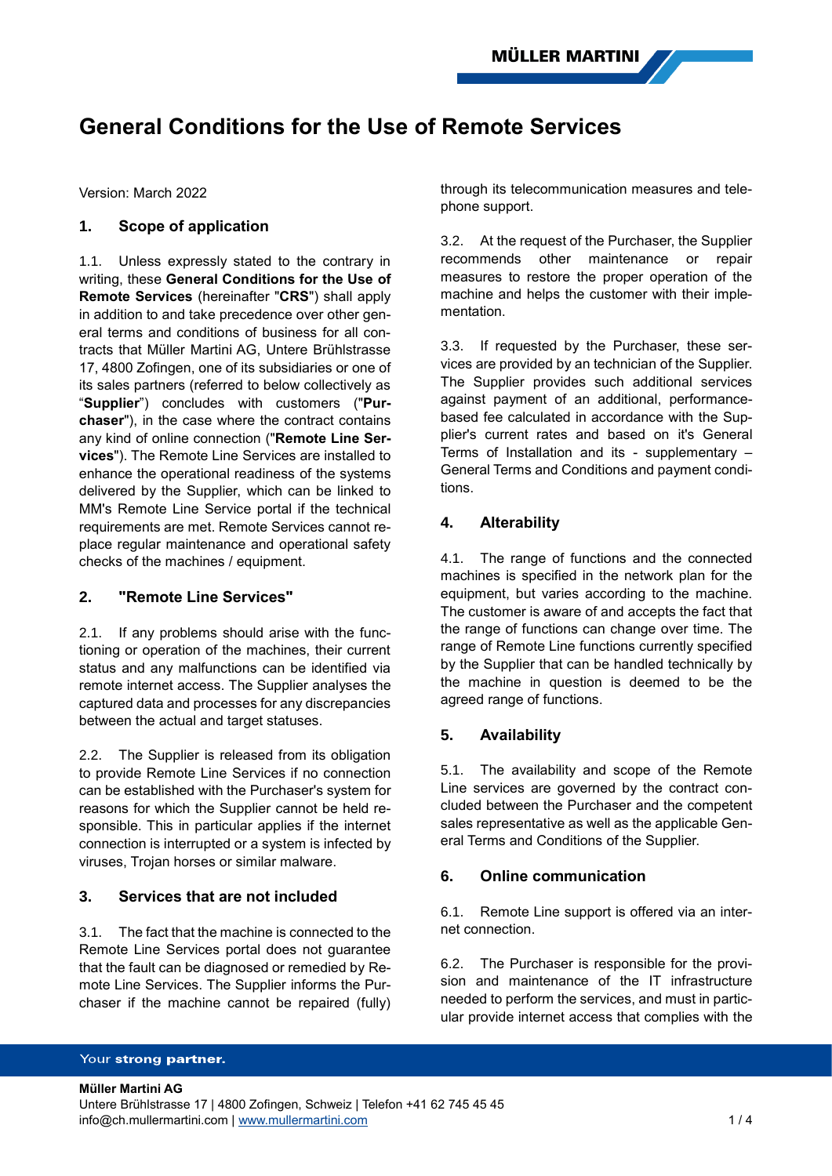# **General Conditions for the Use of Remote Services**

Version: March 2022

# **1. Scope of application**

1.1. Unless expressly stated to the contrary in writing, these **General Conditions for the Use of Remote Services** (hereinafter "**CRS**") shall apply in addition to and take precedence over other general terms and conditions of business for all contracts that Müller Martini AG, Untere Brühlstrasse 17, 4800 Zofingen, one of its subsidiaries or one of its sales partners (referred to below collectively as "**Supplier**") concludes with customers ("**Purchaser**"), in the case where the contract contains any kind of online connection ("**Remote Line Services**"). The Remote Line Services are installed to enhance the operational readiness of the systems delivered by the Supplier, which can be linked to MM's Remote Line Service portal if the technical requirements are met. Remote Services cannot replace regular maintenance and operational safety checks of the machines / equipment.

### **2. "Remote Line Services"**

2.1. If any problems should arise with the functioning or operation of the machines, their current status and any malfunctions can be identified via remote internet access. The Supplier analyses the captured data and processes for any discrepancies between the actual and target statuses.

2.2. The Supplier is released from its obligation to provide Remote Line Services if no connection can be established with the Purchaser's system for reasons for which the Supplier cannot be held responsible. This in particular applies if the internet connection is interrupted or a system is infected by viruses, Trojan horses or similar malware.

# **3. Services that are not included**

3.1. The fact that the machine is connected to the Remote Line Services portal does not guarantee that the fault can be diagnosed or remedied by Remote Line Services. The Supplier informs the Purchaser if the machine cannot be repaired (fully) through its telecommunication measures and telephone support.

3.2. At the request of the Purchaser, the Supplier recommends other maintenance or repair measures to restore the proper operation of the machine and helps the customer with their implementation.

3.3. If requested by the Purchaser, these services are provided by an technician of the Supplier. The Supplier provides such additional services against payment of an additional, performancebased fee calculated in accordance with the Supplier's current rates and based on it's General Terms of Installation and its - supplementary – General Terms and Conditions and payment conditions.

# **4. Alterability**

4.1. The range of functions and the connected machines is specified in the network plan for the equipment, but varies according to the machine. The customer is aware of and accepts the fact that the range of functions can change over time. The range of Remote Line functions currently specified by the Supplier that can be handled technically by the machine in question is deemed to be the agreed range of functions.

# **5. Availability**

5.1. The availability and scope of the Remote Line services are governed by the contract concluded between the Purchaser and the competent sales representative as well as the applicable General Terms and Conditions of the Supplier.

### **6. Online communication**

6.1. Remote Line support is offered via an internet connection.

6.2. The Purchaser is responsible for the provision and maintenance of the IT infrastructure needed to perform the services, and must in particular provide internet access that complies with the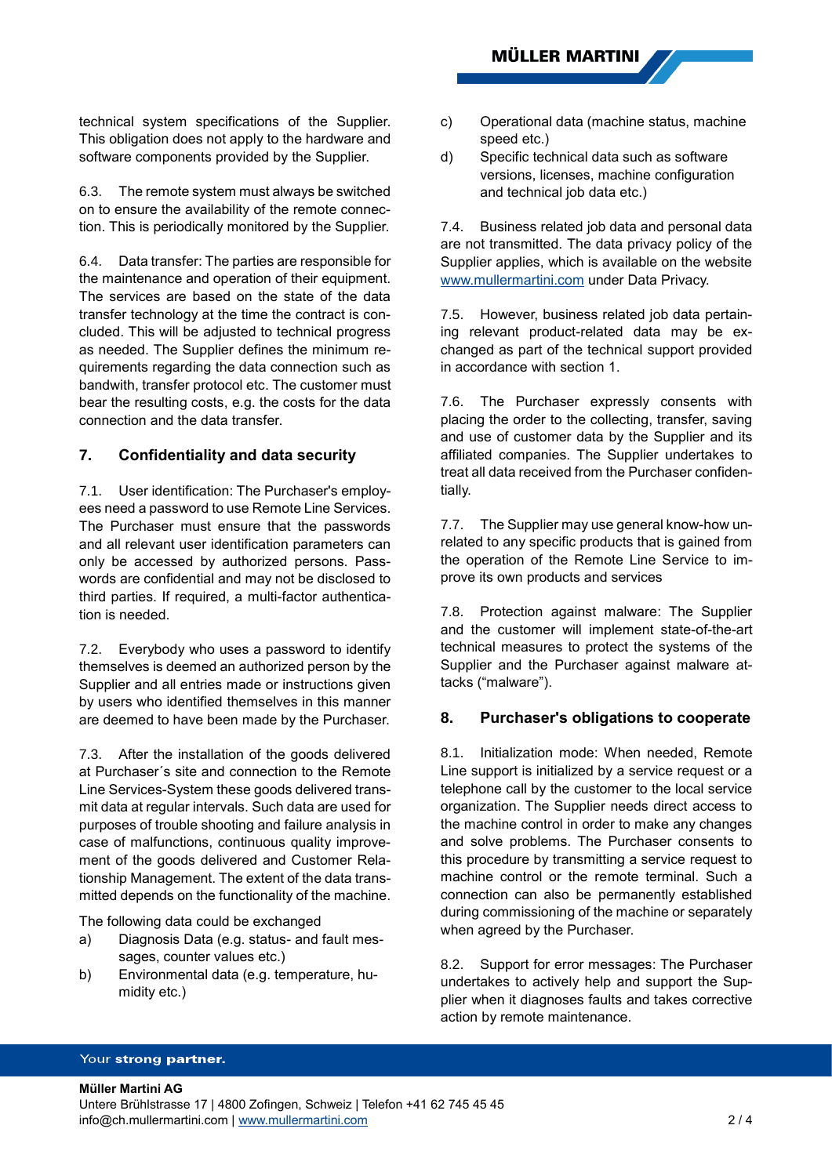technical system specifications of the Supplier. This obligation does not apply to the hardware and software components provided by the Supplier.

6.3. The remote system must always be switched on to ensure the availability of the remote connection. This is periodically monitored by the Supplier.

6.4. Data transfer: The parties are responsible for the maintenance and operation of their equipment. The services are based on the state of the data transfer technology at the time the contract is concluded. This will be adjusted to technical progress as needed. The Supplier defines the minimum requirements regarding the data connection such as bandwith, transfer protocol etc. The customer must bear the resulting costs, e.g. the costs for the data connection and the data transfer.

# **7. Confidentiality and data security**

7.1. User identification: The Purchaser's employees need a password to use Remote Line Services. The Purchaser must ensure that the passwords and all relevant user identification parameters can only be accessed by authorized persons. Passwords are confidential and may not be disclosed to third parties. If required, a multi-factor authentication is needed.

7.2. Everybody who uses a password to identify themselves is deemed an authorized person by the Supplier and all entries made or instructions given by users who identified themselves in this manner are deemed to have been made by the Purchaser.

7.3. After the installation of the goods delivered at Purchaser´s site and connection to the Remote Line Services-System these goods delivered transmit data at regular intervals. Such data are used for purposes of trouble shooting and failure analysis in case of malfunctions, continuous quality improvement of the goods delivered and Customer Relationship Management. The extent of the data transmitted depends on the functionality of the machine.

The following data could be exchanged

- a) Diagnosis Data (e.g. status- and fault messages, counter values etc.)
- b) Environmental data (e.g. temperature, humidity etc.)
- c) Operational data (machine status, machine speed etc.)
- d) Specific technical data such as software versions, licenses, machine configuration and technical job data etc.)

7.4. Business related job data and personal data are not transmitted. The data privacy policy of the Supplier applies, which is available on the website [www.mullermartini.com](http://www.mullermartini.com/) under Data Privacy.

7.5. However, business related job data pertaining relevant product-related data may be exchanged as part of the technical support provided in accordance with section 1.

7.6. The Purchaser expressly consents with placing the order to the collecting, transfer, saving and use of customer data by the Supplier and its affiliated companies. The Supplier undertakes to treat all data received from the Purchaser confidentially.

7.7. The Supplier may use general know-how unrelated to any specific products that is gained from the operation of the Remote Line Service to improve its own products and services

7.8. Protection against malware: The Supplier and the customer will implement state-of-the-art technical measures to protect the systems of the Supplier and the Purchaser against malware attacks ("malware").

# **8. Purchaser's obligations to cooperate**

8.1. Initialization mode: When needed, Remote Line support is initialized by a service request or a telephone call by the customer to the local service organization. The Supplier needs direct access to the machine control in order to make any changes and solve problems. The Purchaser consents to this procedure by transmitting a service request to machine control or the remote terminal. Such a connection can also be permanently established during commissioning of the machine or separately when agreed by the Purchaser.

8.2. Support for error messages: The Purchaser undertakes to actively help and support the Supplier when it diagnoses faults and takes corrective action by remote maintenance.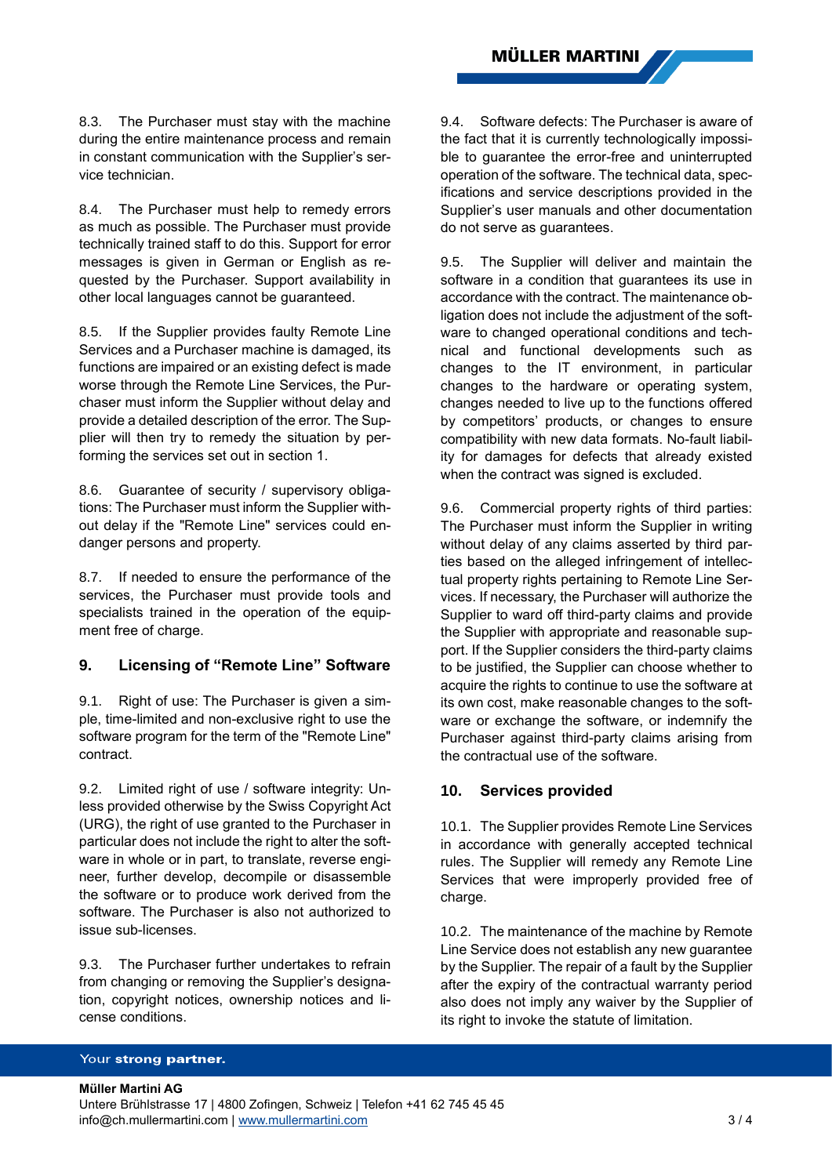8.3. The Purchaser must stay with the machine during the entire maintenance process and remain in constant communication with the Supplier's service technician.

8.4. The Purchaser must help to remedy errors as much as possible. The Purchaser must provide technically trained staff to do this. Support for error messages is given in German or English as requested by the Purchaser. Support availability in other local languages cannot be guaranteed.

8.5. If the Supplier provides faulty Remote Line Services and a Purchaser machine is damaged, its functions are impaired or an existing defect is made worse through the Remote Line Services, the Purchaser must inform the Supplier without delay and provide a detailed description of the error. The Supplier will then try to remedy the situation by performing the services set out in section 1.

8.6. Guarantee of security / supervisory obligations: The Purchaser must inform the Supplier without delay if the "Remote Line" services could endanger persons and property.

8.7. If needed to ensure the performance of the services, the Purchaser must provide tools and specialists trained in the operation of the equipment free of charge.

# **9. Licensing of "Remote Line" Software**

9.1. Right of use: The Purchaser is given a simple, time-limited and non-exclusive right to use the software program for the term of the "Remote Line" contract.

9.2. Limited right of use / software integrity: Unless provided otherwise by the Swiss Copyright Act (URG), the right of use granted to the Purchaser in particular does not include the right to alter the software in whole or in part, to translate, reverse engineer, further develop, decompile or disassemble the software or to produce work derived from the software. The Purchaser is also not authorized to issue sub-licenses.

9.3. The Purchaser further undertakes to refrain from changing or removing the Supplier's designation, copyright notices, ownership notices and license conditions.

9.4. Software defects: The Purchaser is aware of the fact that it is currently technologically impossible to guarantee the error-free and uninterrupted operation of the software. The technical data, specifications and service descriptions provided in the Supplier's user manuals and other documentation do not serve as guarantees.

9.5. The Supplier will deliver and maintain the software in a condition that guarantees its use in accordance with the contract. The maintenance obligation does not include the adjustment of the software to changed operational conditions and technical and functional developments such as changes to the IT environment, in particular changes to the hardware or operating system, changes needed to live up to the functions offered by competitors' products, or changes to ensure compatibility with new data formats. No-fault liability for damages for defects that already existed when the contract was signed is excluded.

9.6. Commercial property rights of third parties: The Purchaser must inform the Supplier in writing without delay of any claims asserted by third parties based on the alleged infringement of intellectual property rights pertaining to Remote Line Services. If necessary, the Purchaser will authorize the Supplier to ward off third-party claims and provide the Supplier with appropriate and reasonable support. If the Supplier considers the third-party claims to be justified, the Supplier can choose whether to acquire the rights to continue to use the software at its own cost, make reasonable changes to the software or exchange the software, or indemnify the Purchaser against third-party claims arising from the contractual use of the software.

# **10. Services provided**

10.1. The Supplier provides Remote Line Services in accordance with generally accepted technical rules. The Supplier will remedy any Remote Line Services that were improperly provided free of charge.

10.2. The maintenance of the machine by Remote Line Service does not establish any new guarantee by the Supplier. The repair of a fault by the Supplier after the expiry of the contractual warranty period also does not imply any waiver by the Supplier of its right to invoke the statute of limitation.